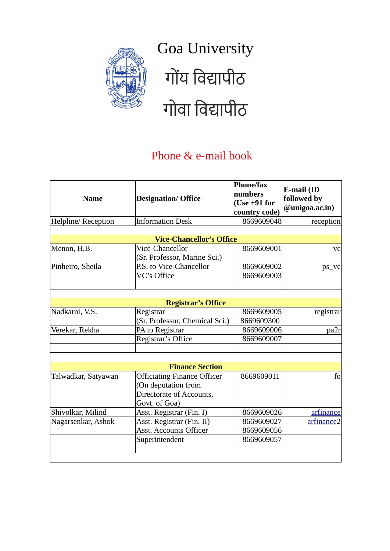

## Goa University गोंय विद्यापीठ गोवा विद्यापीठ

## Phone & e-mail book

| <b>Name</b>         | <b>Designation/ Office</b>                                                                             | <b>Phone/fax</b><br>numbers<br>$(Use +91 for$<br>country code) | E-mail (ID<br>followed by<br>@unigoa.ac.in) |
|---------------------|--------------------------------------------------------------------------------------------------------|----------------------------------------------------------------|---------------------------------------------|
| Helpline/Reception  | <b>Information Desk</b>                                                                                | 8669609048                                                     | reception                                   |
|                     |                                                                                                        |                                                                |                                             |
|                     | <b>Vice-Chancellor's Office</b>                                                                        |                                                                |                                             |
| Menon, H.B.         | Vice-Chancellor<br>(Sr. Professor, Marine Sci.)                                                        | 8669609001                                                     | <b>VC</b>                                   |
| Pinheiro, Sheila    | P.S. to Vice-Chancellor                                                                                | 8669609002                                                     | ps_vc                                       |
|                     | VC's Office                                                                                            | 8669609003                                                     |                                             |
|                     |                                                                                                        |                                                                |                                             |
|                     |                                                                                                        |                                                                |                                             |
|                     | <b>Registrar's Office</b>                                                                              |                                                                |                                             |
| Nadkarni, V.S.      | Registrar                                                                                              | 8669609005                                                     | registrar                                   |
|                     | (Sr. Professor, Chemical Sci.)                                                                         | 8669609300                                                     |                                             |
| Verekar, Rekha      | PA to Registrar                                                                                        | 8669609006                                                     | pa2r                                        |
|                     | Registrar's Office                                                                                     | 8669609007                                                     |                                             |
|                     |                                                                                                        |                                                                |                                             |
|                     |                                                                                                        |                                                                |                                             |
|                     | <b>Finance Section</b>                                                                                 |                                                                |                                             |
| Talwadkar, Satyawan | <b>Officiating Finance Officer</b><br>(On deputation from<br>Directorate of Accounts,<br>Govt. of Goa) | 8669609011                                                     | fo                                          |
| Shivolkar, Milind   | Asst. Registrar (Fin. I)                                                                               | 8669609026                                                     | arfinance                                   |
| Nagarsenkar, Ashok  | Asst. Registrar (Fin. II)                                                                              | 8669609027                                                     | arfinance2                                  |
|                     | <b>Asst. Accounts Officer</b>                                                                          | 8669609056                                                     |                                             |
|                     | Superintendent                                                                                         | 8669609057                                                     |                                             |
|                     |                                                                                                        |                                                                |                                             |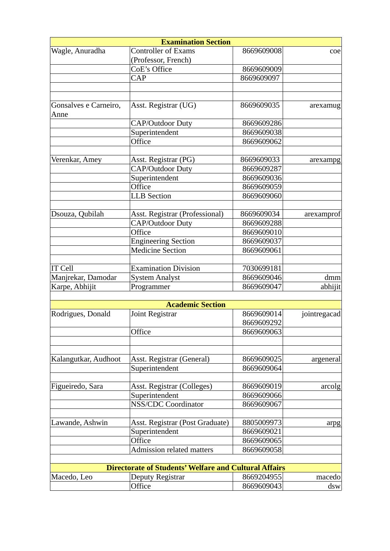|                       | <b>Examination Section</b>                                   |            |              |
|-----------------------|--------------------------------------------------------------|------------|--------------|
| Wagle, Anuradha       | <b>Controller of Exams</b>                                   | 8669609008 | 1            |
|                       | (Professor, French)                                          |            |              |
|                       | CoE's Office                                                 | 8669609009 |              |
|                       | CAP                                                          | 8669609097 |              |
|                       |                                                              |            |              |
| Gonsalves e Carneiro, | Asst. Registrar (UG)                                         | 8669609035 | arexamug     |
| Anne                  |                                                              |            |              |
|                       | <b>CAP/Outdoor Duty</b>                                      | 8669609286 |              |
|                       | Superintendent                                               | 8669609038 |              |
|                       | Office                                                       | 8669609062 |              |
|                       |                                                              |            |              |
| Verenkar, Amey        | Asst. Registrar (PG)                                         | 8669609033 | arexampg     |
|                       | <b>CAP/Outdoor Duty</b>                                      | 8669609287 |              |
|                       | Superintendent                                               | 8669609036 |              |
|                       | Office                                                       | 8669609059 |              |
|                       | <b>LLB</b> Section                                           | 8669609060 |              |
|                       |                                                              |            |              |
| Dsouza, Qubilah       | Asst. Registrar (Professional)                               | 8669609034 | arexamprof   |
|                       | <b>CAP/Outdoor Duty</b>                                      | 8669609288 |              |
|                       | Office                                                       | 8669609010 |              |
|                       | <b>Engineering Section</b>                                   | 8669609037 |              |
|                       | <b>Medicine Section</b>                                      | 8669609061 |              |
|                       |                                                              |            |              |
| <b>IT Cell</b>        | <b>Examination Division</b>                                  | 7030699181 |              |
| Manjrekar, Damodar    | <b>System Analyst</b>                                        | 8669609046 | dmm          |
| Karpe, Abhijit        | Programmer                                                   | 8669609047 | abhijit      |
|                       |                                                              |            |              |
|                       | <b>Academic Section</b>                                      |            |              |
| Rodrigues, Donald     | Joint Registrar                                              | 8669609014 | jointregacad |
|                       |                                                              | 8669609292 |              |
|                       | Office                                                       | 8669609063 |              |
|                       |                                                              |            |              |
| Kalangutkar, Audhoot  | Asst. Registrar (General)                                    | 8669609025 | argeneral    |
|                       | Superintendent                                               | 8669609064 |              |
|                       |                                                              |            |              |
| Figueiredo, Sara      | Asst. Registrar (Colleges)                                   | 8669609019 | arcolg       |
|                       | Superintendent                                               | 8669609066 |              |
|                       | <b>NSS/CDC Coordinator</b>                                   | 8669609067 |              |
|                       |                                                              |            |              |
| Lawande, Ashwin       | Asst. Registrar (Post Graduate)                              | 8805009973 | arpg         |
|                       | Superintendent                                               | 8669609021 |              |
|                       | Office                                                       | 8669609065 |              |
|                       | <b>Admission related matters</b>                             | 8669609058 |              |
|                       |                                                              |            |              |
|                       | <b>Directorate of Students' Welfare and Cultural Affairs</b> |            |              |
| Macedo, Leo           | Deputy Registrar                                             | 8669204955 | macedo       |
|                       | Office                                                       | 8669609043 | dsw          |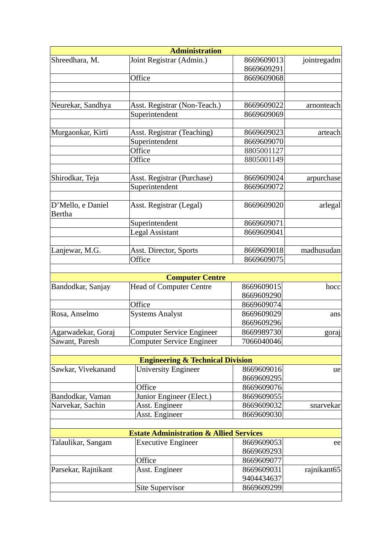|                                    | <b>Administration</b>                              |                          |             |
|------------------------------------|----------------------------------------------------|--------------------------|-------------|
| Shreedhara, M.                     | Joint Registrar (Admin.)                           | 8669609013               | jointregadm |
|                                    |                                                    | 8669609291               |             |
|                                    | Office                                             | 8669609068               |             |
|                                    |                                                    |                          |             |
|                                    |                                                    |                          |             |
| Neurekar, Sandhya                  | Asst. Registrar (Non-Teach.)                       | 8669609022               | arnonteach  |
|                                    | Superintendent                                     | 8669609069               |             |
| Murgaonkar, Kirti                  | <b>Asst. Registrar (Teaching)</b>                  | 8669609023               | arteach     |
|                                    | Superintendent                                     | 8669609070               |             |
|                                    | Office                                             | 8805001127               |             |
|                                    | Office                                             | 8805001149               |             |
|                                    |                                                    |                          |             |
| Shirodkar, Teja                    | Asst. Registrar (Purchase)                         | 8669609024               | arpurchase  |
|                                    | Superintendent                                     | 8669609072               |             |
|                                    |                                                    |                          |             |
| D'Mello, e Daniel<br><b>Bertha</b> | Asst. Registrar (Legal)                            | 8669609020               | arlegal     |
|                                    | Superintendent                                     | 8669609071               |             |
|                                    | <b>Legal Assistant</b>                             | 8669609041               |             |
|                                    |                                                    |                          |             |
| Lanjewar, M.G.                     | Asst. Director, Sports                             | 8669609018               | madhusudan  |
|                                    | Office                                             | 8669609075               |             |
|                                    |                                                    |                          |             |
|                                    | <b>Computer Centre</b>                             |                          |             |
| Bandodkar, Sanjay                  | <b>Head of Computer Centre</b>                     | 8669609015               | hocc        |
|                                    | Office                                             | 8669609290               |             |
| Rosa, Anselmo                      | <b>Systems Analyst</b>                             | 8669609074<br>8669609029 |             |
|                                    |                                                    | 8669609296               | ans         |
|                                    |                                                    |                          |             |
| Agarwadekar, Goraj                 | <b>Computer Service Engineer</b>                   | 8669989730               | goraj       |
| Sawant, Paresh                     | Computer Service Engineer                          | 7066040046               |             |
|                                    | <b>Engineering &amp; Technical Division</b>        |                          |             |
| Sawkar, Vivekanand                 | <b>University Engineer</b>                         | 8669609016               | ue          |
|                                    |                                                    | 8669609295               |             |
|                                    | Office                                             | 8669609076               |             |
| Bandodkar, Vaman                   | Junior Engineer (Elect.)                           | 8669609055               |             |
| Narvekar, Sachin                   | Asst. Engineer                                     | 8669609032               | snarvekar   |
|                                    | Asst. Engineer                                     | 8669609030               |             |
|                                    |                                                    |                          |             |
|                                    | <b>Estate Administration &amp; Allied Services</b> |                          |             |
| Talaulikar, Sangam                 | <b>Executive Engineer</b>                          | 8669609053               | ee          |
|                                    |                                                    | 8669609293               |             |
|                                    | Office                                             | 8669609077               |             |
| Parsekar, Rajnikant                | Asst. Engineer                                     | 8669609031               | rajnikant65 |
|                                    |                                                    | 9404434637               |             |
|                                    | <b>Site Supervisor</b>                             | 8669609299               |             |
|                                    |                                                    |                          |             |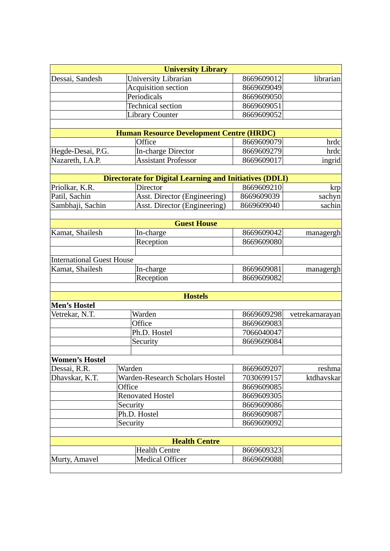|                                  | <b>University Library</b>                                      |            |                 |
|----------------------------------|----------------------------------------------------------------|------------|-----------------|
| Dessai, Sandesh                  | <b>University Librarian</b>                                    | 8669609012 | librarian       |
|                                  | Acquisition section                                            | 8669609049 |                 |
|                                  | Periodicals                                                    | 8669609050 |                 |
|                                  | <b>Technical section</b>                                       | 8669609051 |                 |
|                                  | <b>Library Counter</b>                                         | 8669609052 |                 |
|                                  |                                                                |            |                 |
|                                  | <b>Human Resource Development Centre (HRDC)</b>                |            |                 |
|                                  | Office                                                         | 8669609079 | hrdc            |
| Hegde-Desai, P.G.                | <b>In-charge Director</b>                                      | 8669609279 | hrdc            |
| Nazareth, I.A.P.                 | <b>Assistant Professor</b>                                     | 8669609017 | ingrid          |
|                                  |                                                                |            |                 |
|                                  | <b>Directorate for Digital Learning and Initiatives (DDLI)</b> |            |                 |
| Priolkar, K.R.                   | <b>Director</b>                                                | 8669609210 | krp             |
| Patil, Sachin                    | Asst. Director (Engineering)                                   | 8669609039 | sachyn          |
| Sambhaji, Sachin                 | Asst. Director (Engineering)                                   | 8669609040 | sachin          |
|                                  |                                                                |            |                 |
|                                  | <b>Guest House</b>                                             |            |                 |
| Kamat, Shailesh                  | In-charge                                                      | 8669609042 | managergh       |
|                                  | Reception                                                      | 8669609080 |                 |
|                                  |                                                                |            |                 |
| <b>International Guest House</b> |                                                                |            |                 |
| Kamat, Shailesh                  | In-charge                                                      | 8669609081 | managergh       |
|                                  | Reception                                                      | 8669609082 |                 |
|                                  |                                                                |            |                 |
|                                  | <b>Hostels</b>                                                 |            |                 |
| <b>Men's Hostel</b>              |                                                                |            |                 |
| Vetrekar, N.T.                   | Warden                                                         | 8669609298 | vetrekarnarayan |
|                                  | Office                                                         | 8669609083 |                 |
|                                  | Ph.D. Hostel                                                   | 7066040047 |                 |
|                                  | Security                                                       | 8669609084 |                 |
|                                  |                                                                |            |                 |
| <b>Women's Hostel</b>            |                                                                |            |                 |
| Dessai, R.R.                     | Warden                                                         | 8669609207 | reshma          |
| Dhavskar, K.T.                   | Warden-Research Scholars Hostel                                | 7030699157 | ktdhavskar      |
|                                  | Office                                                         | 8669609085 |                 |
|                                  | <b>Renovated Hostel</b>                                        | 8669609305 |                 |
|                                  | Security                                                       | 8669609086 |                 |
|                                  | Ph.D. Hostel                                                   | 8669609087 |                 |
|                                  | Security                                                       | 8669609092 |                 |
|                                  |                                                                |            |                 |
|                                  | <b>Health Centre</b>                                           |            |                 |
|                                  |                                                                |            |                 |
|                                  | <b>Health Centre</b>                                           | 8669609323 |                 |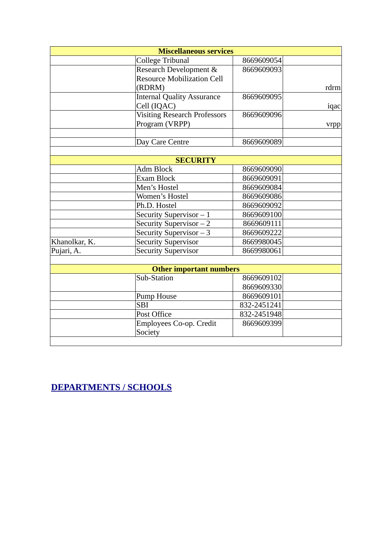|               | <b>Miscellaneous services</b>       |             |      |
|---------------|-------------------------------------|-------------|------|
|               | College Tribunal                    | 8669609054  |      |
|               | Research Development &              | 8669609093  |      |
|               | <b>Resource Mobilization Cell</b>   |             |      |
|               | (RDRM)                              |             | rdrm |
|               | <b>Internal Quality Assurance</b>   | 8669609095  |      |
|               | Cell (IQAC)                         |             | iqac |
|               | <b>Visiting Research Professors</b> | 8669609096  |      |
|               | Program (VRPP)                      |             | vrpp |
|               |                                     |             |      |
|               | Day Care Centre                     | 8669609089  |      |
|               |                                     |             |      |
|               | <b>SECURITY</b>                     |             |      |
|               | <b>Adm Block</b>                    | 8669609090  |      |
|               | Exam Block                          | 8669609091  |      |
|               | Men's Hostel                        | 8669609084  |      |
|               | Women's Hostel                      | 8669609086  |      |
|               | Ph.D. Hostel                        | 8669609092  |      |
|               | Security Supervisor $-1$            | 8669609100  |      |
|               | Security Supervisor - 2             | 8669609111  |      |
|               | Security Supervisor - 3             | 8669609222  |      |
| Khanolkar, K. | <b>Security Supervisor</b>          | 8669980045  |      |
| Pujari, A.    | <b>Security Supervisor</b>          | 8669980061  |      |
|               |                                     |             |      |
|               | <b>Other important numbers</b>      |             |      |
|               | Sub-Station                         | 8669609102  |      |
|               |                                     | 8669609330  |      |
|               | Pump House                          | 8669609101  |      |
|               | <b>SBI</b>                          | 832-2451241 |      |
|               | <b>Post Office</b>                  | 832-2451948 |      |
|               | Employees Co-op. Credit             | 8669609399  |      |
|               | Society                             |             |      |
|               |                                     |             |      |

**[DEPARTMENTS / SCHOOLS](#page-5-0)**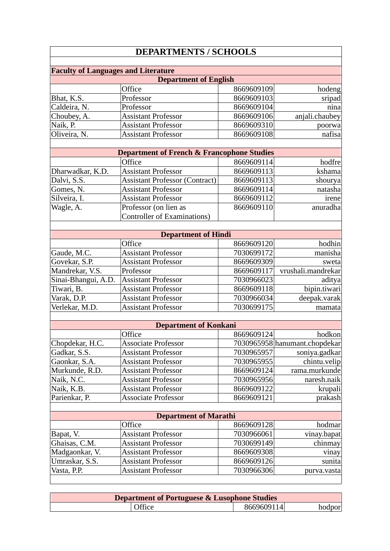## <span id="page-5-0"></span>**DEPARTMENTS / SCHOOLS**

| <b>Faculty of Languages and Literature</b> |                              |            |                |
|--------------------------------------------|------------------------------|------------|----------------|
|                                            | <b>Department of English</b> |            |                |
|                                            | Office                       | 8669609109 | hodeng         |
| Bhat, K.S.                                 | Professor                    | 8669609103 | sripad         |
| Caldeira, N.                               | Professor                    | 8669609104 | nina           |
| Choubey, A.                                | <b>Assistant Professor</b>   | 8669609106 | anjali.chaubey |
| Naik, P.                                   | <b>Assistant Professor</b>   | 8669609310 | poorwa         |
| Oliveira, N.                               | <b>Assistant Professor</b>   | 8669609108 | nafisa         |
|                                            |                              |            |                |

| <b>Department of French &amp; Francophone Studies</b> |                                       |            |          |
|-------------------------------------------------------|---------------------------------------|------------|----------|
|                                                       | Office                                | 8669609114 | hodfre   |
| Dharwadkar, K.D.                                      | <b>Assistant Professor</b>            | 8669609113 | kshama   |
| Dalvi, S.S.                                           | <b>Assistant Professor (Contract)</b> | 8669609113 | shourya  |
| Gomes, N.                                             | <b>Assistant Professor</b>            | 8669609114 | natasha  |
| Silveira, I.                                          | <b>Assistant Professor</b>            | 8669609112 | irene    |
| Wagle, A.                                             | Professor (on lien as                 | 8669609110 | anuradha |
|                                                       | Controller of Examinations)           |            |          |
|                                                       |                                       |            |          |

| <b>Department of Hindi</b> |                            |            |                    |
|----------------------------|----------------------------|------------|--------------------|
|                            | Office                     | 8669609120 | hodhin             |
| Gaude, M.C.                | <b>Assistant Professor</b> | 7030699172 | manisha            |
| Govekar, S.P.              | <b>Assistant Professor</b> | 8669609309 | sweta              |
| Mandrekar, V.S.            | Professor                  | 8669609117 | vrushali.mandrekar |
| Sinai-Bhangui, A.D.        | <b>Assistant Professor</b> | 7030966023 | aditya             |
| Tiwari, B.                 | <b>Assistant Professor</b> | 8669609118 | bipin.tiwari       |
| Varak, D.P.                | <b>Assistant Professor</b> | 7030966034 | deepak.varak       |
| Verlekar, M.D.             | <b>Assistant Professor</b> | 7030699175 | mamata             |

| <b>Department of Konkani</b> |                            |            |                               |
|------------------------------|----------------------------|------------|-------------------------------|
|                              | Office                     | 8669609124 | hodkon                        |
| Chopdekar, H.C.              | <b>Associate Professor</b> |            | 7030965958 hanumant.chopdekar |
| Gadkar, S.S.                 | <b>Assistant Professor</b> | 7030965957 | soniya.gadkar                 |
| Gaonkar, S.A.                | <b>Assistant Professor</b> | 7030965955 | chintu.velip                  |
| Murkunde, R.D.               | <b>Assistant Professor</b> | 8669609124 | rama.murkunde                 |
| Naik, N.C.                   | <b>Assistant Professor</b> | 7030965956 | naresh.naik                   |
| Naik, K.B.                   | <b>Assistant Professor</b> | 8669609122 | krupali                       |
| Parienkar, P.                | <b>Associate Professor</b> | 8669609121 | prakash                       |

| <b>Department of Marathi</b> |                            |            |             |
|------------------------------|----------------------------|------------|-------------|
|                              | Office                     | 8669609128 | hodmar      |
| Bapat, V.                    | <b>Assistant Professor</b> | 7030966061 | vinay.bapat |
| Ghaisas, C.M.                | <b>Assistant Professor</b> | 7030699149 | chinmay     |
| Madgaonkar, V.               | <b>Assistant Professor</b> | 8669609308 | vinay       |
| Umraskar, S.S.               | <b>Assistant Professor</b> | 8669609126 | sunita      |
| Vasta, P.P.                  | <b>Assistant Professor</b> | 7030966306 | purva.vasta |
|                              |                            |            |             |

| <b>Department of Portuguese &amp; Lusophone Studies</b> |            |  |  |
|---------------------------------------------------------|------------|--|--|
| Office                                                  | 8669609114 |  |  |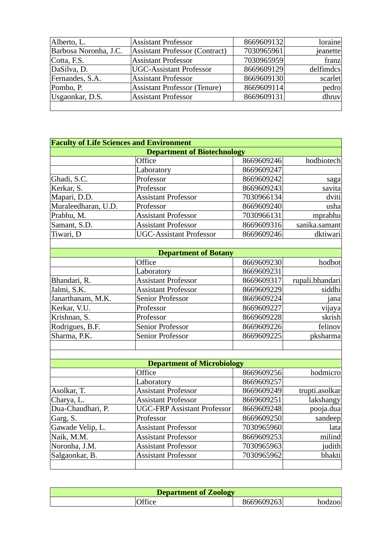|                       |                                     | 8669609132 | loraine   |
|-----------------------|-------------------------------------|------------|-----------|
| Alberto, L.           | <b>Assistant Professor</b>          |            |           |
| Barbosa Noronha, J.C. | Assistant Professor (Contract)      | 7030965961 | jeanette  |
| Cotta, F.S.           | <b>Assistant Professor</b>          | 7030965959 | franz     |
| DaSilva, D.           | <b>UGC-Assistant Professor</b>      | 8669609129 | delfimdcs |
| Fernandes, S.A.       | <b>Assistant Professor</b>          | 8669609130 | scarlet   |
| Pombo, P.             | <b>Assistant Professor (Tenure)</b> | 8669609114 | pedro     |
| Usgaonkar, D.S.       | <b>Assistant Professor</b>          | 8669609131 | dhruv     |
|                       |                                     |            |           |

| <b>Faculty of Life Sciences and Environment</b> |                                    |            |                 |
|-------------------------------------------------|------------------------------------|------------|-----------------|
|                                                 | <b>Department of Biotechnology</b> |            |                 |
|                                                 | Office                             | 8669609246 | hodbiotech      |
|                                                 | Laboratory                         | 8669609247 |                 |
| Ghadi, S.C.                                     | Professor                          | 8669609242 | saga            |
| Kerkar, S.                                      | Professor                          | 8669609243 | savita          |
| Mapari, D.D.                                    | <b>Assistant Professor</b>         | 7030966134 | dviti           |
| Muraleedharan, U.D.                             | Professor                          | 8669609240 | usha            |
| Prabhu, M.                                      | <b>Assistant Professor</b>         | 7030966131 | mprabhu         |
| Samant, S.D.                                    | <b>Assistant Professor</b>         | 8669609316 | sanika.samant   |
| Tiwari, D                                       | <b>UGC-Assistant Professor</b>     | 8669609246 | dktiwari        |
|                                                 |                                    |            |                 |
|                                                 | <b>Department of Botany</b>        |            |                 |
|                                                 | Office                             | 8669609230 | hodbot          |
|                                                 | Laboratory                         | 8669609231 |                 |
| Bhandari, R.                                    | <b>Assistant Professor</b>         | 8669609317 | rupali.bhandari |
| Jalmi, S.K.                                     | <b>Assistant Professor</b>         | 8669609229 | siddhi          |
| Janarthanam, M.K.                               | <b>Senior Professor</b>            | 8669609224 | janal           |
| Kerkar, V.U.                                    | Professor                          | 8669609227 | vijaya          |
| Krishnan, S.                                    | Professor                          | 8669609228 | skrish          |
| Rodrigues, B.F.                                 | <b>Senior Professor</b>            | 8669609226 | felinov         |
| Sharma, P.K.                                    | Senior Professor                   | 8669609225 | pksharma        |
|                                                 |                                    |            |                 |
|                                                 |                                    |            |                 |
|                                                 | <b>Department of Microbiology</b>  |            |                 |
|                                                 | Office                             | 8669609256 | hodmicro        |
|                                                 | Laboratory                         | 8669609257 |                 |
| $\Delta$ collegr T                              | Accistant Drofossor                | 8669609249 | trupti acollear |

| Asolkar, T.       | <b>Assistant Professor</b>         | 8669609249 | trupti.asolkar |
|-------------------|------------------------------------|------------|----------------|
| Charya, L.        | <b>Assistant Professor</b>         | 8669609251 | lakshangy      |
| Dua-Chaudhari, P. | <b>UGC-FRP Assistant Professor</b> | 8669609248 | pooja.dua      |
| Garg, S.          | Professor                          | 8669609250 | sandeep        |
| Gawade Velip, L.  | <b>Assistant Professor</b>         | 7030965960 | lata           |
| Naik, M.M.        | <b>Assistant Professor</b>         | 8669609253 | milind         |
| Noronha, J.M.     | <b>Assistant Professor</b>         | 7030965963 | judith         |
| Salgaonkar, B.    | <b>Assistant Professor</b>         | 7030965962 | bhakti         |
|                   |                                    |            |                |

| <b>Department of Zoology</b> |       |            |         |
|------------------------------|-------|------------|---------|
|                              | هffir | 8669609263 | hodzool |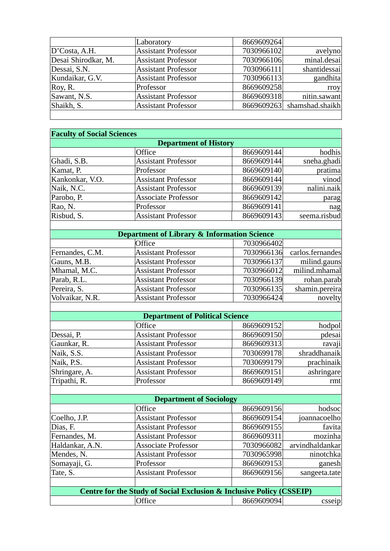|                     | Laboratory                 | 8669609264 |                            |
|---------------------|----------------------------|------------|----------------------------|
| D'Costa, A.H.       | <b>Assistant Professor</b> | 7030966102 | avelyno                    |
| Desai Shirodkar, M. | <b>Assistant Professor</b> | 7030966106 | minal.desai                |
| Dessai, S.N.        | <b>Assistant Professor</b> | 7030966111 | shantidessai               |
| Kundaikar, G.V.     | <b>Assistant Professor</b> | 7030966113 | gandhita                   |
| $\forall$ Roy, R.   | Professor                  | 8669609258 | rroy                       |
| Sawant, N.S.        | <b>Assistant Professor</b> | 8669609318 | nitin.sawant               |
| Shaikh, S.          | <b>Assistant Professor</b> |            | 8669609263 shamshad.shaikh |
|                     |                            |            |                            |

| <b>Faculty of Social Sciences</b> |                              |            |              |
|-----------------------------------|------------------------------|------------|--------------|
|                                   | <b>Department of History</b> |            |              |
|                                   | Office                       | 8669609144 | hodhis       |
| Ghadi, S.B.                       | <b>Assistant Professor</b>   | 8669609144 | sneha.ghadi  |
| Kamat, P.                         | Professor                    | 8669609140 | pratima      |
| Kankonkar, V.O.                   | <b>Assistant Professor</b>   | 8669609144 | vinod        |
| Naik, N.C.                        | <b>Assistant Professor</b>   | 8669609139 | nalini.naik  |
| Parobo, P.                        | <b>Associate Professor</b>   | 8669609142 | parag        |
| Rao, N.                           | Professor                    | 8669609141 | nag          |
| Risbud, S.                        | <b>Assistant Professor</b>   | 8669609143 | seema.risbud |
|                                   |                              |            |              |

| <b>Department of Library &amp; Information Science</b> |                            |            |                  |
|--------------------------------------------------------|----------------------------|------------|------------------|
|                                                        | Office                     | 7030966402 |                  |
| Fernandes, C.M.                                        | <b>Assistant Professor</b> | 7030966136 | carlos.fernandes |
| Gauns, M.B.                                            | <b>Assistant Professor</b> | 7030966137 | milind.gauns     |
| Mhamal, M.C.                                           | <b>Assistant Professor</b> | 7030966012 | milind.mhamal    |
| Parab, R.L.                                            | <b>Assistant Professor</b> | 7030966139 | rohan.parab      |
| Pereira, S.                                            | <b>Assistant Professor</b> | 7030966135 | shamin.pereira   |
| Volvaikar, N.R.                                        | <b>Assistant Professor</b> | 7030966424 | novelty          |

| <b>Department of Political Science</b> |                            |            |              |
|----------------------------------------|----------------------------|------------|--------------|
|                                        | Office                     | 8669609152 | hodpol       |
| Dessai, P.                             | <b>Assistant Professor</b> | 8669609150 | pdesai       |
| Gaunkar, R.                            | <b>Assistant Professor</b> | 8669609313 | ravaji       |
| Naik, S.S.                             | <b>Assistant Professor</b> | 7030699178 | shraddhanaik |
| Naik, P.S.                             | <b>Assistant Professor</b> | 7030699179 | prachinaik   |
| Shringare, A.                          | <b>Assistant Professor</b> | 8669609151 | ashringare   |
| Tripathi, R.                           | Professor                  | 8669609149 | rmt          |

| <b>Department of Sociology</b>                                                  |                            |            |                 |
|---------------------------------------------------------------------------------|----------------------------|------------|-----------------|
|                                                                                 | Office                     | 8669609156 | hodsoc          |
| Coelho, J.P.                                                                    | <b>Assistant Professor</b> | 8669609154 | joannacoelho    |
| Dias, F.                                                                        | <b>Assistant Professor</b> | 8669609155 | favita          |
| Fernandes, M.                                                                   | <b>Assistant Professor</b> | 8669609311 | mozinha         |
| Haldankar, A.N.                                                                 | <b>Associate Professor</b> | 7030966082 | arvindhaldankar |
| Mendes, N.                                                                      | <b>Assistant Professor</b> | 7030965998 | ninotchka       |
| Somayaji, G.                                                                    | Professor                  | 8669609153 | ganesh          |
| Tate, S.                                                                        | <b>Assistant Professor</b> | 8669609156 | sangeeta.tate   |
|                                                                                 |                            |            |                 |
| <b>Centre for the Study of Social Exclusion &amp; Inclusive Policy (CSSEIP)</b> |                            |            |                 |
|                                                                                 | Office                     | 8669609094 | csseip          |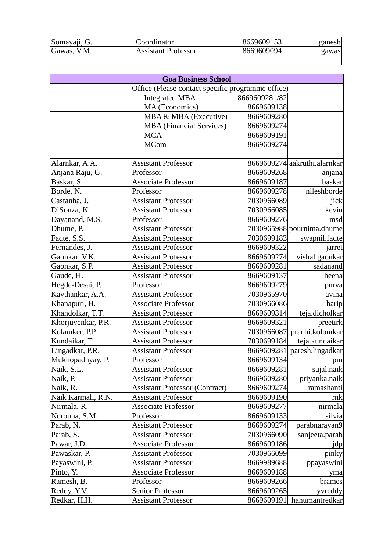| Somayaji, G. | Coordinator                | 8669609153 | ganesh |
|--------------|----------------------------|------------|--------|
| Gawas, V.M.  | <b>Assistant Professor</b> | 8669609094 | gawas  |
|              |                            |            |        |

| <b>Goa Business School</b> |                                                   |               |                              |
|----------------------------|---------------------------------------------------|---------------|------------------------------|
|                            | Office (Please contact specific programme office) |               |                              |
|                            | <b>Integrated MBA</b>                             | 8669609281/82 |                              |
|                            | MA (Economics)                                    | 8669609138    |                              |
|                            | MBA & MBA (Executive)                             | 8669609280    |                              |
|                            | <b>MBA</b> (Financial Services)                   | 8669609274    |                              |
|                            | <b>MCA</b>                                        | 8669609191    |                              |
|                            | <b>MCom</b>                                       | 8669609274    |                              |
|                            |                                                   |               |                              |
| Alarnkar, A.A.             | <b>Assistant Professor</b>                        |               | 8669609274 aakruthi.alarnkar |
| Anjana Raju, G.            | Professor                                         | 8669609268    | anjana                       |
| Baskar, S.                 | <b>Associate Professor</b>                        | 8669609187    | baskar                       |
| Borde, N.                  | Professor                                         | 8669609278    | nileshborde                  |
| Castanha, J.               | <b>Assistant Professor</b>                        | 7030966089    | jick                         |
| D'Souza, K.                | <b>Assistant Professor</b>                        | 7030966085    | kevin                        |
| Dayanand, M.S.             | Professor                                         | 8669609276    | msd                          |
| Dhume, P.                  | <b>Assistant Professor</b>                        |               | 7030965988 pournima.dhume    |
| Fadte, S.S.                | <b>Assistant Professor</b>                        | 7030699183    | swapnil.fadte                |
| Fernandes, J.              | <b>Assistant Professor</b>                        | 8669609322    | jarret                       |
| Gaonkar, V.K.              | <b>Assistant Professor</b>                        | 8669609274    | vishal.gaonkar               |
| Gaonkar, S.P.              | <b>Assistant Professor</b>                        | 8669609281    | sadanand                     |
| Gaude, H.                  | <b>Assistant Professor</b>                        | 8669609137    | heena                        |
| Hegde-Desai, P.            | Professor                                         | 8669609279    | purva                        |
| Kavthankar, A.A.           | <b>Assistant Professor</b>                        | 7030965970    | avina                        |
| Khanapuri, H.              | <b>Associate Professor</b>                        | 7030966086    | harip                        |
| Khandolkar, T.T.           | <b>Assistant Professor</b>                        | 8669609314    | teja.dicholkar               |
| Khorjuvenkar, P.R.         | <b>Assistant Professor</b>                        | 8669609321    | preetirk                     |
| Kolamker, P.P.             | <b>Assistant Professor</b>                        | 7030966087    | prachi.kolomkar              |
| Kundaikar, T.              | <b>Assistant Professor</b>                        | 7030699184    | teja.kundaikar               |
| Lingadkar, P.R.            | <b>Assistant Professor</b>                        | 8669609281    | paresh.lingadkar             |
| Mukhopadhyay, P.           | Professor                                         | 8669609134    | pm                           |
| Naik, S.L.                 | <b>Assistant Professor</b>                        | 8669609281    | sujal.naik                   |
| Naik, P.                   | <b>Assistant Professor</b>                        | 8669609280    | priyanka.naik                |
| Naik, R.                   | <b>Assistant Professor (Contract)</b>             | 8669609274    | ramashanti                   |
| Naik Karmali, R.N.         | <b>Assistant Professor</b>                        | 8669609190    | rnk                          |
| Nirmala, R.                | <b>Associate Professor</b>                        | 8669609277    | nirmala                      |
| Noronha, S.M.              | Professor                                         | 8669609133    | silvia                       |
| Parab, N.                  | <b>Assistant Professor</b>                        | 8669609274    | parabnarayan9                |
| Parab, S.                  | <b>Assistant Professor</b>                        | 7030966090    | sanjeeta.parab               |
| Pawar, J.D.                | <b>Associate Professor</b>                        | 8669609186    | jdp                          |
| Pawaskar, P.               | <b>Assistant Professor</b>                        | 7030966099    | pinky                        |
| Payaswini, P.              | <b>Assistant Professor</b>                        | 8669989688    | ppayaswini                   |
| Pinto, Y.                  | <b>Associate Professor</b>                        | 8669609188    | yma                          |
| Ramesh, B.                 | Professor                                         | 8669609266    | brames                       |
| Reddy, Y.V.                | <b>Senior Professor</b>                           | 8669609265    | yvreddy                      |
| Redkar, H.H.               | <b>Assistant Professor</b>                        | 8669609191    | hanumantredkar               |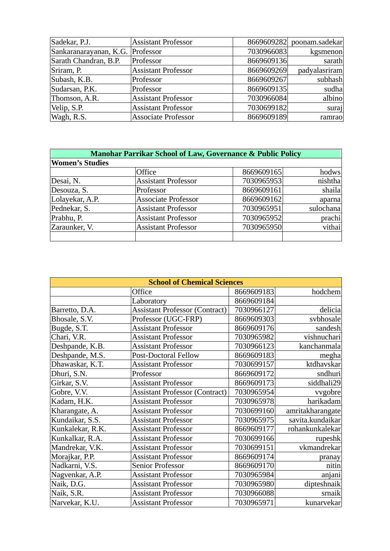| Sadekar, P.J.          | <b>Assistant Professor</b> | 8669609282 | poonam.sadekar |
|------------------------|----------------------------|------------|----------------|
| Sankaranarayanan, K.G. | Professor                  | 7030966083 | kgsmenon       |
| Sarath Chandran, B.P.  | Professor                  | 8669609136 | sarath         |
| Sriram, P.             | <b>Assistant Professor</b> | 8669609269 | padyalasriram  |
| Subash, K.B.           | Professor                  | 8669609267 | subhash        |
| Sudarsan, P.K.         | Professor                  | 8669609135 | sudha          |
| Thomson, A.R.          | <b>Assistant Professor</b> | 7030966084 | albino         |
| Velip, S.P.            | <b>Assistant Professor</b> | 7030699182 | suraj          |
| Wagh, R.S.             | <b>Associate Professor</b> | 8669609189 | ramrao         |

| <b>Manohar Parrikar School of Law, Governance &amp; Public Policy</b> |                            |            |           |
|-----------------------------------------------------------------------|----------------------------|------------|-----------|
| <b>Women's Studies</b>                                                |                            |            |           |
|                                                                       | Office                     | 8669609165 | hodws     |
| Desai, N.                                                             | <b>Assistant Professor</b> | 7030965953 | nishtha   |
| Desouza, S.                                                           | Professor                  | 8669609161 | shaila    |
| Lolayekar, A.P.                                                       | <b>Associate Professor</b> | 8669609162 | aparna    |
| Pednekar, S.                                                          | <b>Assistant Professor</b> | 7030965951 | sulochana |
| Prabhu, P.                                                            | <b>Assistant Professor</b> | 7030965952 | prachi    |
| Zaraunker, V.                                                         | <b>Assistant Professor</b> | 7030965950 | vithai    |
|                                                                       |                            |            |           |

| <b>School of Chemical Sciences</b> |                                       |            |                  |
|------------------------------------|---------------------------------------|------------|------------------|
|                                    | Office                                | 8669609183 | hodchem          |
|                                    | Laboratory                            | 8669609184 |                  |
| Barretto, D.A.                     | <b>Assistant Professor (Contract)</b> | 7030966127 | delicia          |
| Bhosale, S.V.                      | Professor (UGC-FRP)                   | 8669609303 | svbhosale        |
| Bugde, S.T.                        | <b>Assistant Professor</b>            | 8669609176 | sandesh          |
| Chari, V.R.                        | <b>Assistant Professor</b>            | 7030965982 | vishnuchari      |
| Deshpande, K.B.                    | <b>Assistant Professor</b>            | 7030966123 | kanchanmala      |
| Deshpande, M.S.                    | Post-Doctoral Fellow                  | 8669609183 | megha            |
| Dhawaskar, K.T.                    | <b>Assistant Professor</b>            | 7030699157 | ktdhavskar       |
| Dhuri, S.N.                        | Professor                             | 8669609172 | sndhuri          |
| Girkar, S.V.                       | <b>Assistant Professor</b>            | 8669609173 | siddhali29       |
| Gobre, V.V.                        | <b>Assistant Professor (Contract)</b> | 7030965954 | vvgobre          |
| Kadam, H.K.                        | <b>Assistant Professor</b>            | 7030965978 | harikadam        |
| Kharangate, A.                     | <b>Assistant Professor</b>            | 7030699160 | amritakharangate |
| Kundaikar, S.S.                    | <b>Assistant Professor</b>            | 7030965975 | savita.kundaikar |
| Kunkalekar, R.K.                   | <b>Assistant Professor</b>            | 8669609177 | rohankunkalekar  |
| Kunkalkar, R.A.                    | <b>Assistant Professor</b>            | 7030699166 | rupeshk          |
| Mandrekar, V.K.                    | <b>Assistant Professor</b>            | 7030699151 | vkmandrekar      |
| Morajkar, P.P.                     | <b>Assistant Professor</b>            | 8669609174 | pranay           |
| Nadkarni, V.S.                     | Senior Professor                      | 8669609170 | nitin            |
| Nagvenkar, A.P.                    | <b>Assistant Professor</b>            | 7030965984 | anjani           |
| Naik, D.G.                         | <b>Assistant Professor</b>            | 7030965980 | dipteshnaik      |
| Naik, S.R.                         | <b>Assistant Professor</b>            | 7030966088 | srnaik           |
| Narvekar, K.U.                     | <b>Assistant Professor</b>            | 7030965971 | kunarvekar       |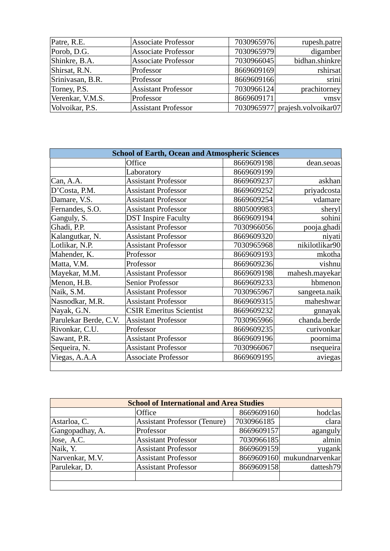| Patre, R.E.      | <b>Associate Professor</b> | 7030965976 | rupesh.patre                   |
|------------------|----------------------------|------------|--------------------------------|
| Porob, D.G.      | <b>Associate Professor</b> | 7030965979 | digamber                       |
| Shinkre, B.A.    | <b>Associate Professor</b> | 7030966045 | bidhan.shinkre                 |
| Shirsat, R.N.    | Professor                  | 8669609169 | rshirsat                       |
| Srinivasan, B.R. | Professor                  | 8669609166 | srini                          |
| Torney, P.S.     | <b>Assistant Professor</b> | 7030966124 | prachitorney                   |
| Verenkar, V.M.S. | Professor                  | 8669609171 | vmsv                           |
| Volvoikar, P.S.  | <b>Assistant Professor</b> |            | 7030965977 prajesh.volvoikar07 |

| <b>School of Earth, Ocean and Atmospheric Sciences</b> |                                |            |                |
|--------------------------------------------------------|--------------------------------|------------|----------------|
|                                                        | Office                         | 8669609198 | dean.seoas     |
|                                                        | Laboratory                     | 8669609199 |                |
| Can, A.A.                                              | <b>Assistant Professor</b>     | 8669609237 | askhan         |
| D'Costa, P.M.                                          | <b>Assistant Professor</b>     | 8669609252 | priyadcosta    |
| Damare, V.S.                                           | <b>Assistant Professor</b>     | 8669609254 | vdamare        |
| Fernandes, S.O.                                        | <b>Assistant Professor</b>     | 8805009983 | sheryl         |
| Ganguly, S.                                            | <b>DST</b> Inspire Faculty     | 8669609194 | sohini         |
| Ghadi, P.P.                                            | <b>Assistant Professor</b>     | 7030966056 | pooja.ghadi    |
| Kalangutkar, N.                                        | <b>Assistant Professor</b>     | 8669609320 | niyati         |
| Lotlikar, N.P.                                         | <b>Assistant Professor</b>     | 7030965968 | nikilotlikar90 |
| Mahender, K.                                           | Professor                      | 8669609193 | mkotha         |
| Matta, V.M.                                            | Professor                      | 8669609236 | vishnu         |
| Mayekar, M.M.                                          | <b>Assistant Professor</b>     | 8669609198 | mahesh.mayekar |
| Menon, H.B.                                            | Senior Professor               | 8669609233 | hbmenon        |
| Naik, S.M.                                             | <b>Assistant Professor</b>     | 7030965967 | sangeeta.naik  |
| Nasnodkar, M.R.                                        | <b>Assistant Professor</b>     | 8669609315 | maheshwar      |
| Nayak, G.N.                                            | <b>CSIR Emeritus Scientist</b> | 8669609232 | gnnayak        |
| Parulekar Berde, C.V.                                  | <b>Assistant Professor</b>     | 7030965966 | chanda.berde   |
| Rivonkar, C.U.                                         | Professor                      | 8669609235 | curivonkar     |
| Sawant, P.R.                                           | <b>Assistant Professor</b>     | 8669609196 | poornima       |
| Sequeira, N.                                           | <b>Assistant Professor</b>     | 7030966067 | nsequeira      |
| Viegas, A.A.A                                          | <b>Associate Professor</b>     | 8669609195 | aviegas        |
|                                                        |                                |            |                |

| <b>School of International and Area Studies</b> |                                     |            |                 |
|-------------------------------------------------|-------------------------------------|------------|-----------------|
|                                                 | Office                              | 8669609160 | hodclas         |
| Astarloa, C.                                    | <b>Assistant Professor (Tenure)</b> | 7030966185 | clara           |
| Gangopadhay, A.                                 | Professor                           | 8669609157 | aganguly        |
| Jose, A.C.                                      | <b>Assistant Professor</b>          | 7030966185 | almin           |
| Naik, Y.                                        | <b>Assistant Professor</b>          | 8669609159 | yugank          |
| Narvenkar, M.V.                                 | <b>Assistant Professor</b>          | 8669609160 | mukundnarvenkar |
| Parulekar, D.                                   | <b>Assistant Professor</b>          | 8669609158 | dattesh79       |
|                                                 |                                     |            |                 |
|                                                 |                                     |            |                 |